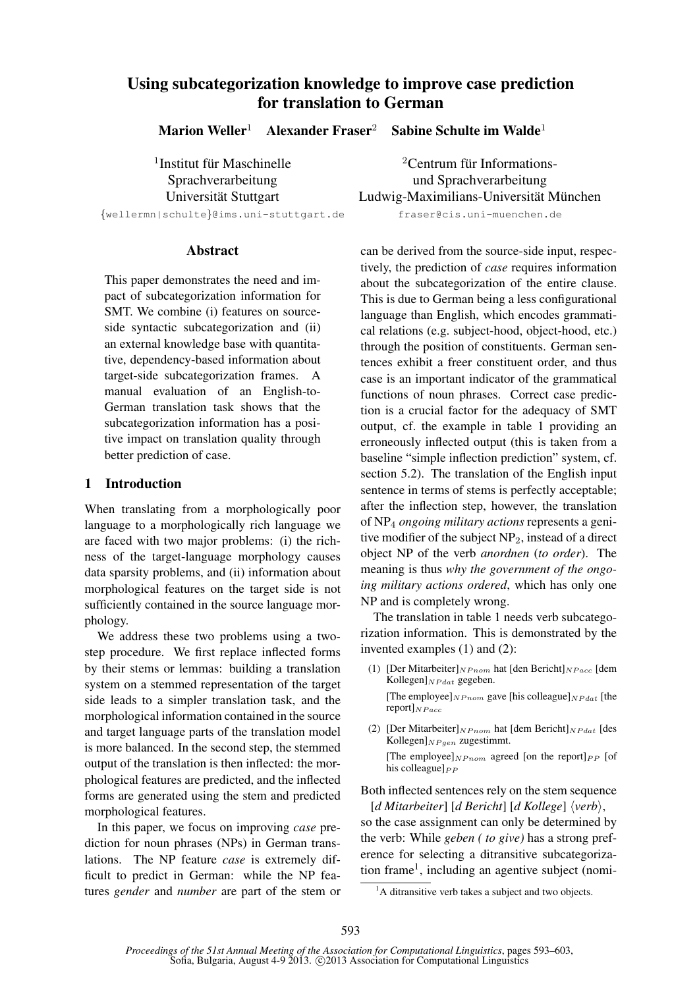# Using subcategorization knowledge to improve case prediction for translation to German

Marion Weller<sup>1</sup> Alexander Fraser<sup>2</sup> Sabine Schulte im Walde<sup>1</sup>

<sup>1</sup>Institut für Maschinelle

### Abstract

This paper demonstrates the need and impact of subcategorization information for SMT. We combine (i) features on sourceside syntactic subcategorization and (ii) an external knowledge base with quantitative, dependency-based information about target-side subcategorization frames. A manual evaluation of an English-to-German translation task shows that the subcategorization information has a positive impact on translation quality through better prediction of case.

### 1 Introduction

When translating from a morphologically poor language to a morphologically rich language we are faced with two major problems: (i) the richness of the target-language morphology causes data sparsity problems, and (ii) information about morphological features on the target side is not sufficiently contained in the source language morphology.

We address these two problems using a twostep procedure. We first replace inflected forms by their stems or lemmas: building a translation system on a stemmed representation of the target side leads to a simpler translation task, and the morphological information contained in the source and target language parts of the translation model is more balanced. In the second step, the stemmed output of the translation is then inflected: the morphological features are predicted, and the inflected forms are generated using the stem and predicted morphological features.

In this paper, we focus on improving *case* prediction for noun phrases (NPs) in German translations. The NP feature *case* is extremely difficult to predict in German: while the NP features *gender* and *number* are part of the stem or

 ${}^{2}$ Centrum für Informations-Sprachverarbeitung und Sprachverarbeitung Universität Stuttgart in Ludwig-Maximilians-Universität München {wellermn|schulte}@ims.uni-stuttgart.de fraser@cis.uni-muenchen.de

> can be derived from the source-side input, respectively, the prediction of *case* requires information about the subcategorization of the entire clause. This is due to German being a less configurational language than English, which encodes grammatical relations (e.g. subject-hood, object-hood, etc.) through the position of constituents. German sentences exhibit a freer constituent order, and thus case is an important indicator of the grammatical functions of noun phrases. Correct case prediction is a crucial factor for the adequacy of SMT output, cf. the example in table 1 providing an erroneously inflected output (this is taken from a baseline "simple inflection prediction" system, cf. section 5.2). The translation of the English input sentence in terms of stems is perfectly acceptable; after the inflection step, however, the translation of NP<sup>4</sup> *ongoing military actions* represents a genitive modifier of the subject  $NP_2$ , instead of a direct object NP of the verb *anordnen* (*to order*). The meaning is thus *why the government of the ongoing military actions ordered*, which has only one NP and is completely wrong.

> The translation in table 1 needs verb subcategorization information. This is demonstrated by the invented examples (1) and (2):

(1) [Der Mitarbeiter] $NP_{nom}$  hat [den Bericht] $NP_{acc}$  [dem Kollegen] $_{NP dat}$  gegeben.

[The employee] $_{NPnom}$  gave [his colleague] $_{NP dat}$  [the  $report]_{NP$  acc

(2) [Der Mitarbeiter] $_{NPnom}$  hat [dem Bericht] $_{NP dat}$  [des Kollegen] $_{NP \, qen}$  zugestimmt. [The employee] $_{NPnom}$  agreed [on the report] $_{PP}$  [of his colleague] $_{PP}$ 

Both inflected sentences rely on the stem sequence  $[d$  *Mitarbeiter*]  $[d$  *Bericht*]  $[d$  *Kollege*]  $\langle verb \rangle$ ,

so the case assignment can only be determined by the verb: While *geben ( to give)* has a strong preference for selecting a ditransitive subcategorization frame<sup>1</sup>, including an agentive subject (nomi-

<sup>&</sup>lt;sup>1</sup>A ditransitive verb takes a subject and two objects.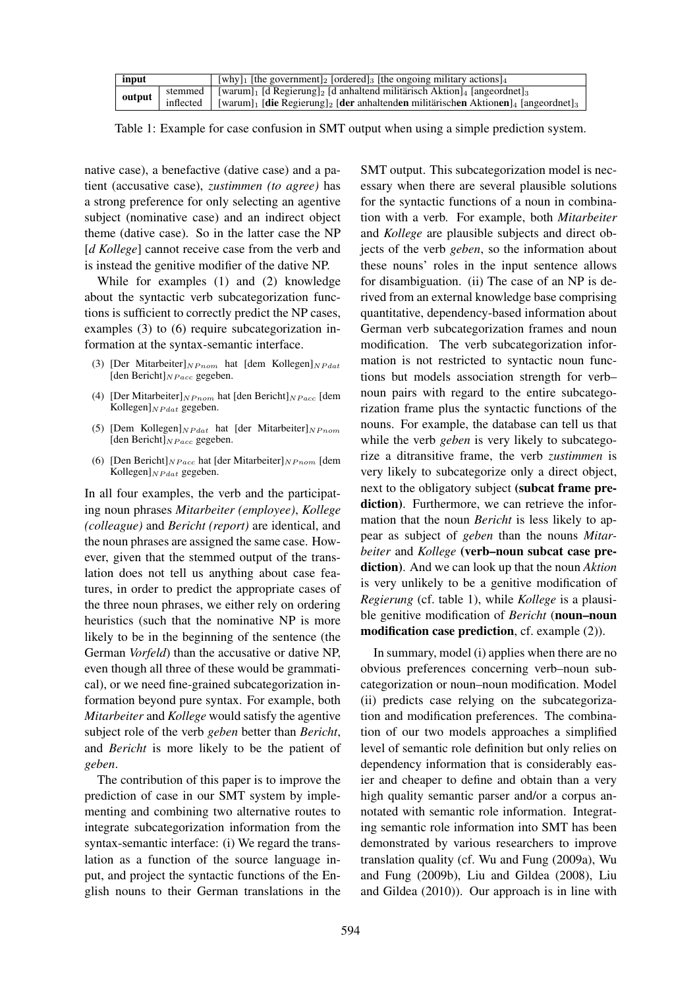| input | [why] <sub>1</sub> [the government] <sub>2</sub> [ordered] <sub>3</sub> [the ongoing military actions] <sub>4</sub>                                  |
|-------|------------------------------------------------------------------------------------------------------------------------------------------------------|
|       | stemmed   [warum] <sub>1</sub> [d Regierung] <sub>2</sub> [d anhaltend militärisch Aktion] <sub>4</sub> [angeordnet] <sub>3</sub>                    |
|       | output   inflected   [warum] <sub>1</sub> [caregrecure] <sub>2</sub> [der anhaltenden militärischen Aktionen] <sub>4</sub> [angeordnet] <sub>3</sub> |

Table 1: Example for case confusion in SMT output when using a simple prediction system.

native case), a benefactive (dative case) and a patient (accusative case), *zustimmen (to agree)* has a strong preference for only selecting an agentive subject (nominative case) and an indirect object theme (dative case). So in the latter case the NP [*d Kollege*] cannot receive case from the verb and is instead the genitive modifier of the dative NP.

While for examples (1) and (2) knowledge about the syntactic verb subcategorization functions is sufficient to correctly predict the NP cases, examples (3) to (6) require subcategorization information at the syntax-semantic interface.

- (3) [Der Mitarbeiter] $_{NPnom}$  hat [dem Kollegen] $_{NP dat}$ [den Bericht] $_{NP$ acc gegeben.
- (4) [Der Mitarbeiter] $NP_{nom}$  hat [den Bericht] $NP_{acc}$  [dem Kollegen] $_{NP dat}$  gegeben.
- (5) [Dem Kollegen] $_{NP dat}$  hat [der Mitarbeiter] $_{NPnom}$ [den Bericht] $_{NP$ acc gegeben.
- (6) [Den Bericht] $NP_{acc}$  hat [der Mitarbeiter] $NP_{nom}$  [dem Kollegen] $_{NP dat}$  gegeben.

In all four examples, the verb and the participating noun phrases *Mitarbeiter (employee)*, *Kollege (colleague)* and *Bericht (report)* are identical, and the noun phrases are assigned the same case. However, given that the stemmed output of the translation does not tell us anything about case features, in order to predict the appropriate cases of the three noun phrases, we either rely on ordering heuristics (such that the nominative NP is more likely to be in the beginning of the sentence (the German *Vorfeld*) than the accusative or dative NP, even though all three of these would be grammatical), or we need fine-grained subcategorization information beyond pure syntax. For example, both *Mitarbeiter* and *Kollege* would satisfy the agentive subject role of the verb *geben* better than *Bericht*, and *Bericht* is more likely to be the patient of *geben*.

The contribution of this paper is to improve the prediction of case in our SMT system by implementing and combining two alternative routes to integrate subcategorization information from the syntax-semantic interface: (i) We regard the translation as a function of the source language input, and project the syntactic functions of the English nouns to their German translations in the

SMT output. This subcategorization model is necessary when there are several plausible solutions for the syntactic functions of a noun in combination with a verb. For example, both *Mitarbeiter* and *Kollege* are plausible subjects and direct objects of the verb *geben*, so the information about these nouns' roles in the input sentence allows for disambiguation. (ii) The case of an NP is derived from an external knowledge base comprising quantitative, dependency-based information about German verb subcategorization frames and noun modification. The verb subcategorization information is not restricted to syntactic noun functions but models association strength for verb– noun pairs with regard to the entire subcategorization frame plus the syntactic functions of the nouns. For example, the database can tell us that while the verb *geben* is very likely to subcategorize a ditransitive frame, the verb *zustimmen* is very likely to subcategorize only a direct object, next to the obligatory subject (subcat frame prediction). Furthermore, we can retrieve the information that the noun *Bericht* is less likely to appear as subject of *geben* than the nouns *Mitarbeiter* and *Kollege* (verb–noun subcat case prediction). And we can look up that the noun *Aktion* is very unlikely to be a genitive modification of *Regierung* (cf. table 1), while *Kollege* is a plausible genitive modification of *Bericht* (noun–noun modification case prediction, cf. example (2)).

In summary, model (i) applies when there are no obvious preferences concerning verb–noun subcategorization or noun–noun modification. Model (ii) predicts case relying on the subcategorization and modification preferences. The combination of our two models approaches a simplified level of semantic role definition but only relies on dependency information that is considerably easier and cheaper to define and obtain than a very high quality semantic parser and/or a corpus annotated with semantic role information. Integrating semantic role information into SMT has been demonstrated by various researchers to improve translation quality (cf. Wu and Fung (2009a), Wu and Fung (2009b), Liu and Gildea (2008), Liu and Gildea (2010)). Our approach is in line with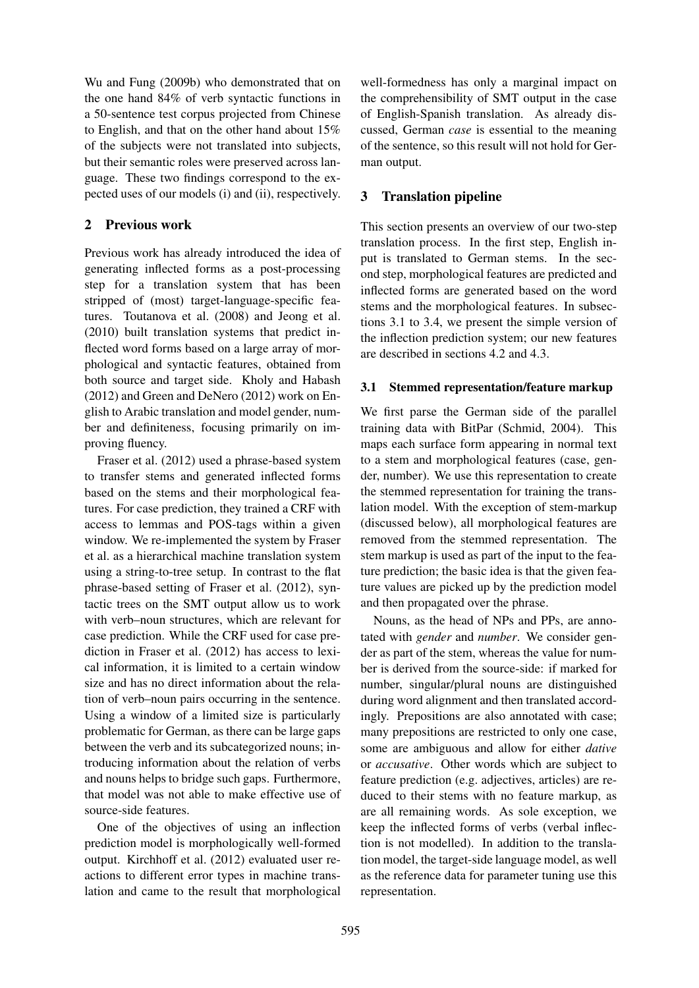Wu and Fung (2009b) who demonstrated that on the one hand 84% of verb syntactic functions in a 50-sentence test corpus projected from Chinese to English, and that on the other hand about 15% of the subjects were not translated into subjects, but their semantic roles were preserved across language. These two findings correspond to the expected uses of our models (i) and (ii), respectively.

### 2 Previous work

Previous work has already introduced the idea of generating inflected forms as a post-processing step for a translation system that has been stripped of (most) target-language-specific features. Toutanova et al. (2008) and Jeong et al. (2010) built translation systems that predict inflected word forms based on a large array of morphological and syntactic features, obtained from both source and target side. Kholy and Habash (2012) and Green and DeNero (2012) work on English to Arabic translation and model gender, number and definiteness, focusing primarily on improving fluency.

Fraser et al. (2012) used a phrase-based system to transfer stems and generated inflected forms based on the stems and their morphological features. For case prediction, they trained a CRF with access to lemmas and POS-tags within a given window. We re-implemented the system by Fraser et al. as a hierarchical machine translation system using a string-to-tree setup. In contrast to the flat phrase-based setting of Fraser et al. (2012), syntactic trees on the SMT output allow us to work with verb–noun structures, which are relevant for case prediction. While the CRF used for case prediction in Fraser et al. (2012) has access to lexical information, it is limited to a certain window size and has no direct information about the relation of verb–noun pairs occurring in the sentence. Using a window of a limited size is particularly problematic for German, as there can be large gaps between the verb and its subcategorized nouns; introducing information about the relation of verbs and nouns helps to bridge such gaps. Furthermore, that model was not able to make effective use of source-side features.

One of the objectives of using an inflection prediction model is morphologically well-formed output. Kirchhoff et al. (2012) evaluated user reactions to different error types in machine translation and came to the result that morphological

well-formedness has only a marginal impact on the comprehensibility of SMT output in the case of English-Spanish translation. As already discussed, German *case* is essential to the meaning of the sentence, so this result will not hold for German output.

## 3 Translation pipeline

This section presents an overview of our two-step translation process. In the first step, English input is translated to German stems. In the second step, morphological features are predicted and inflected forms are generated based on the word stems and the morphological features. In subsections 3.1 to 3.4, we present the simple version of the inflection prediction system; our new features are described in sections 4.2 and 4.3.

### 3.1 Stemmed representation/feature markup

We first parse the German side of the parallel training data with BitPar (Schmid, 2004). This maps each surface form appearing in normal text to a stem and morphological features (case, gender, number). We use this representation to create the stemmed representation for training the translation model. With the exception of stem-markup (discussed below), all morphological features are removed from the stemmed representation. The stem markup is used as part of the input to the feature prediction; the basic idea is that the given feature values are picked up by the prediction model and then propagated over the phrase.

Nouns, as the head of NPs and PPs, are annotated with *gender* and *number*. We consider gender as part of the stem, whereas the value for number is derived from the source-side: if marked for number, singular/plural nouns are distinguished during word alignment and then translated accordingly. Prepositions are also annotated with case; many prepositions are restricted to only one case, some are ambiguous and allow for either *dative* or *accusative*. Other words which are subject to feature prediction (e.g. adjectives, articles) are reduced to their stems with no feature markup, as are all remaining words. As sole exception, we keep the inflected forms of verbs (verbal inflection is not modelled). In addition to the translation model, the target-side language model, as well as the reference data for parameter tuning use this representation.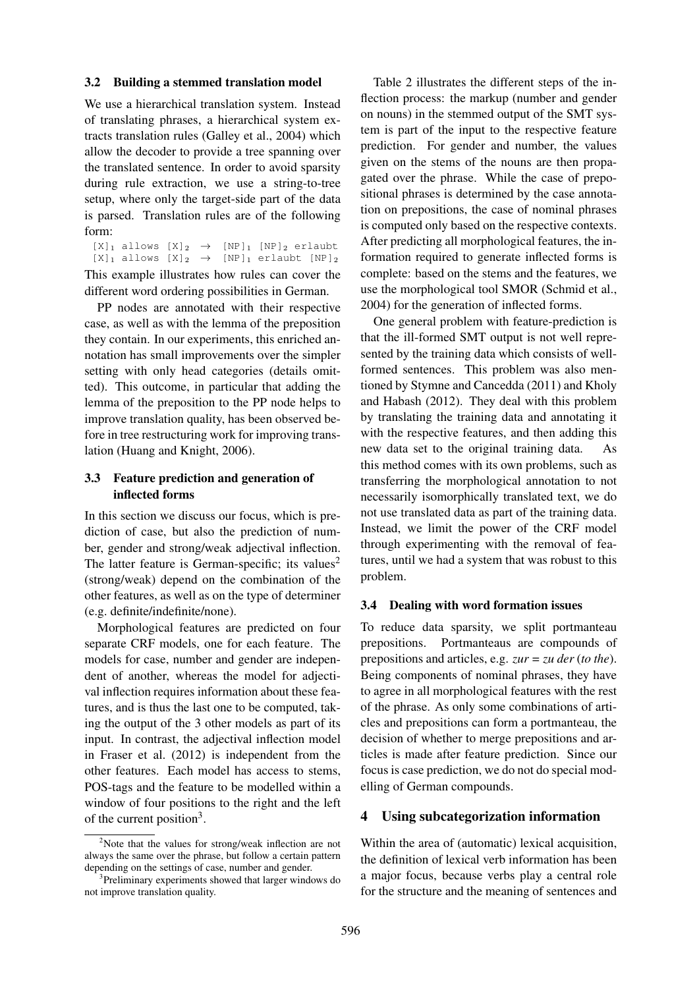#### 3.2 Building a stemmed translation model

We use a hierarchical translation system. Instead of translating phrases, a hierarchical system extracts translation rules (Galley et al., 2004) which allow the decoder to provide a tree spanning over the translated sentence. In order to avoid sparsity during rule extraction, we use a string-to-tree setup, where only the target-side part of the data is parsed. Translation rules are of the following form:

 $[X]_1$  allows  $[X]_2 \rightarrow [NP]_1$   $[NP]_2$  erlaubt  $[X]_1$  allows  $[X]_2 \rightarrow [NP]_1$  erlaubt  $[NP]_2$ This example illustrates how rules can cover the different word ordering possibilities in German.

PP nodes are annotated with their respective case, as well as with the lemma of the preposition they contain. In our experiments, this enriched annotation has small improvements over the simpler setting with only head categories (details omitted). This outcome, in particular that adding the lemma of the preposition to the PP node helps to improve translation quality, has been observed before in tree restructuring work for improving translation (Huang and Knight, 2006).

### 3.3 Feature prediction and generation of inflected forms

In this section we discuss our focus, which is prediction of case, but also the prediction of number, gender and strong/weak adjectival inflection. The latter feature is German-specific; its values<sup>2</sup> (strong/weak) depend on the combination of the other features, as well as on the type of determiner (e.g. definite/indefinite/none).

Morphological features are predicted on four separate CRF models, one for each feature. The models for case, number and gender are independent of another, whereas the model for adjectival inflection requires information about these features, and is thus the last one to be computed, taking the output of the 3 other models as part of its input. In contrast, the adjectival inflection model in Fraser et al. (2012) is independent from the other features. Each model has access to stems, POS-tags and the feature to be modelled within a window of four positions to the right and the left of the current position<sup>3</sup>.

Table 2 illustrates the different steps of the inflection process: the markup (number and gender on nouns) in the stemmed output of the SMT system is part of the input to the respective feature prediction. For gender and number, the values given on the stems of the nouns are then propagated over the phrase. While the case of prepositional phrases is determined by the case annotation on prepositions, the case of nominal phrases is computed only based on the respective contexts. After predicting all morphological features, the information required to generate inflected forms is complete: based on the stems and the features, we use the morphological tool SMOR (Schmid et al., 2004) for the generation of inflected forms.

One general problem with feature-prediction is that the ill-formed SMT output is not well represented by the training data which consists of wellformed sentences. This problem was also mentioned by Stymne and Cancedda (2011) and Kholy and Habash (2012). They deal with this problem by translating the training data and annotating it with the respective features, and then adding this new data set to the original training data. As this method comes with its own problems, such as transferring the morphological annotation to not necessarily isomorphically translated text, we do not use translated data as part of the training data. Instead, we limit the power of the CRF model through experimenting with the removal of features, until we had a system that was robust to this problem.

### 3.4 Dealing with word formation issues

To reduce data sparsity, we split portmanteau prepositions. Portmanteaus are compounds of prepositions and articles, e.g. *zur = zu der* (*to the*). Being components of nominal phrases, they have to agree in all morphological features with the rest of the phrase. As only some combinations of articles and prepositions can form a portmanteau, the decision of whether to merge prepositions and articles is made after feature prediction. Since our focus is case prediction, we do not do special modelling of German compounds.

### 4 Using subcategorization information

Within the area of (automatic) lexical acquisition, the definition of lexical verb information has been a major focus, because verbs play a central role for the structure and the meaning of sentences and

<sup>&</sup>lt;sup>2</sup>Note that the values for strong/weak inflection are not always the same over the phrase, but follow a certain pattern depending on the settings of case, number and gender.

<sup>&</sup>lt;sup>3</sup>Preliminary experiments showed that larger windows do not improve translation quality.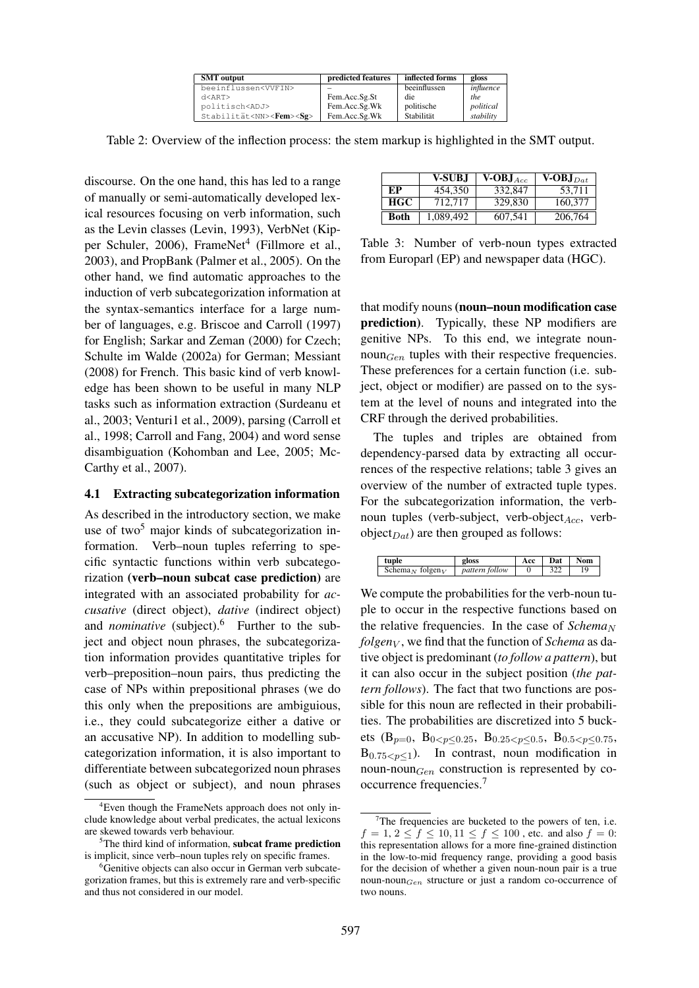| <b>SMT</b> output                        | predicted features | inflected forms | gloss          |
|------------------------------------------|--------------------|-----------------|----------------|
| beeinflussen <vvfin></vvfin>             |                    | beeinflussen    | influence      |
| d < ART                                  | Fem.Acc.Sg.St      | die             | <sub>the</sub> |
| politisch <adj></adj>                    | Fem.Acc.Sg.Wk      | politische      | political      |
| Stabilität <nn><fem><sg></sg></fem></nn> | Fem.Acc.Sg.Wk      | Stabilität      | stability      |

Table 2: Overview of the inflection process: the stem markup is highlighted in the SMT output.

discourse. On the one hand, this has led to a range of manually or semi-automatically developed lexical resources focusing on verb information, such as the Levin classes (Levin, 1993), VerbNet (Kipper Schuler, 2006), FrameNet<sup>4</sup> (Fillmore et al., 2003), and PropBank (Palmer et al., 2005). On the other hand, we find automatic approaches to the induction of verb subcategorization information at the syntax-semantics interface for a large number of languages, e.g. Briscoe and Carroll (1997) for English; Sarkar and Zeman (2000) for Czech; Schulte im Walde (2002a) for German; Messiant (2008) for French. This basic kind of verb knowledge has been shown to be useful in many NLP tasks such as information extraction (Surdeanu et al., 2003; Venturi1 et al., 2009), parsing (Carroll et al., 1998; Carroll and Fang, 2004) and word sense disambiguation (Kohomban and Lee, 2005; Mc-Carthy et al., 2007).

### 4.1 Extracting subcategorization information

As described in the introductory section, we make use of two<sup>5</sup> major kinds of subcategorization information. Verb–noun tuples referring to specific syntactic functions within verb subcategorization (verb–noun subcat case prediction) are integrated with an associated probability for *accusative* (direct object), *dative* (indirect object) and *nominative* (subject).<sup>6</sup> Further to the subject and object noun phrases, the subcategorization information provides quantitative triples for verb–preposition–noun pairs, thus predicting the case of NPs within prepositional phrases (we do this only when the prepositions are ambiguious, i.e., they could subcategorize either a dative or an accusative NP). In addition to modelling subcategorization information, it is also important to differentiate between subcategorized noun phrases (such as object or subject), and noun phrases

|             | <b>V-SUBJ</b> | $V-OBJ_{Acc}$ | $V-OBJ_{Dat}$ |
|-------------|---------------|---------------|---------------|
| EP          | 454,350       | 332,847       | 53.711        |
| <b>HGC</b>  | 712,717       | 329,830       | 160,377       |
| <b>Both</b> | 1,089,492     | 607.541       | 206,764       |

Table 3: Number of verb-noun types extracted from Europarl (EP) and newspaper data (HGC).

that modify nouns(noun–noun modification case prediction). Typically, these NP modifiers are genitive NPs. To this end, we integrate noun- $\text{noun}_{Gen}$  tuples with their respective frequencies. These preferences for a certain function (i.e. subject, object or modifier) are passed on to the system at the level of nouns and integrated into the CRF through the derived probabilities.

The tuples and triples are obtained from dependency-parsed data by extracting all occurrences of the respective relations; table 3 gives an overview of the number of extracted tuple types. For the subcategorization information, the verbnoun tuples (verb-subject, verb-object $_{Acc}$ , verbobject $_{Dat}$ ) are then grouped as follows:

| tuple                                   | gloss                  | Acc | $\cdots$ Dat $\cdots$ | <b>Nom</b> |
|-----------------------------------------|------------------------|-----|-----------------------|------------|
| Schema <sub>N</sub> folgen <sub>V</sub> | $\vert$ pattern follow |     | 322                   | 19         |

We compute the probabilities for the verb-noun tuple to occur in the respective functions based on the relative frequencies. In the case of  $Schema_N$ *folgeny*, we find that the function of *Schema* as dative object is predominant (*to follow a pattern*), but it can also occur in the subject position (*the pattern follows*). The fact that two functions are possible for this noun are reflected in their probabilities. The probabilities are discretized into 5 buckets (B<sub>p=0</sub>, B<sub>0<p≤0.25</sub>, B<sub>0.25<p≤0.5</sub>, B<sub>0.5<p≤0.75</sub>,  $B_{0.75\leq v\leq 1}$ ). In contrast, noun modification in noun-noun $_{Gen}$  construction is represented by cooccurrence frequencies.<sup>7</sup>

 ${}^{4}$ Even though the FrameNets approach does not only include knowledge about verbal predicates, the actual lexicons are skewed towards verb behaviour.

 $5$ The third kind of information, subcat frame prediction is implicit, since verb–noun tuples rely on specific frames.

<sup>&</sup>lt;sup>6</sup>Genitive objects can also occur in German verb subcategorization frames, but this is extremely rare and verb-specific and thus not considered in our model.

 $7$ The frequencies are bucketed to the powers of ten, i.e.  $f = 1, 2 \le f \le 10, 11 \le f \le 100$ , etc. and also  $f = 0$ : this representation allows for a more fine-grained distinction in the low-to-mid frequency range, providing a good basis for the decision of whether a given noun-noun pair is a true noun-noun $_{Gen}$  structure or just a random co-occurrence of two nouns.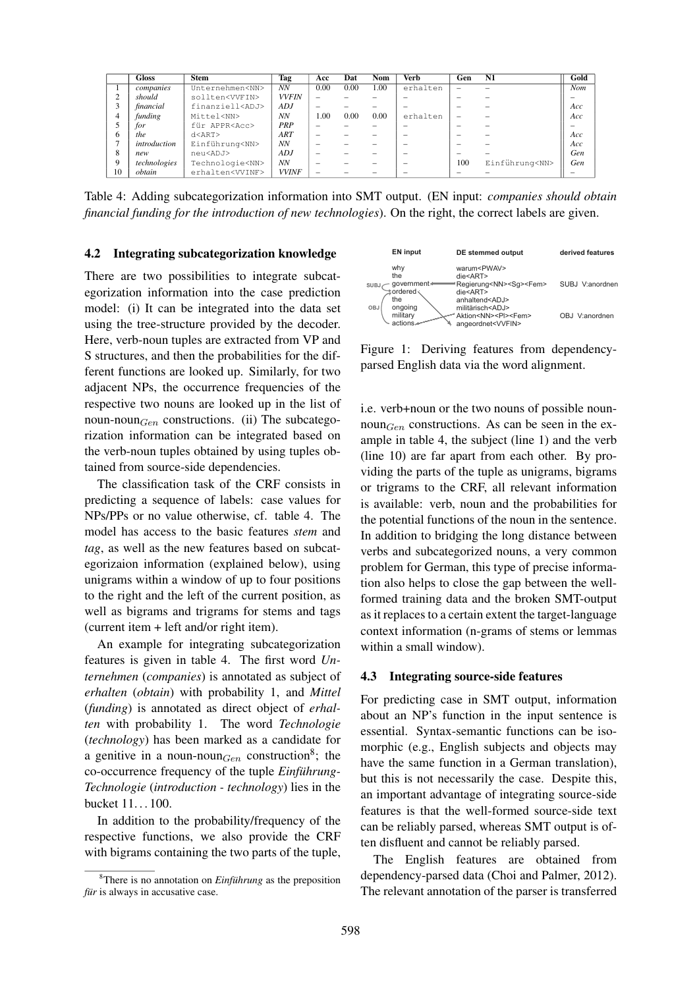|                | <b>Gloss</b> | <b>Stem</b>              | Tag          | Acc  | Dat  | Nom  | Verb     | Gen | N1                   | Gold |
|----------------|--------------|--------------------------|--------------|------|------|------|----------|-----|----------------------|------|
|                | companies    | Unternehmen <nn></nn>    | NN           | 0.00 | 0.00 | 1.00 | erhalten |     |                      | Nom  |
|                | should       | sollten <vvfin></vvfin>  | <b>VVFIN</b> |      |      |      |          |     |                      |      |
|                | financial    | finanziell <adj></adj>   | ADJ          | -    |      |      |          |     |                      | Acc  |
| $\overline{4}$ | funding      | Mittel <nn></nn>         | <b>NN</b>    | 00.1 | 0.00 | 0.00 | erhalten |     |                      | Acc  |
|                | for          | für APPR <acc></acc>     | PRP          |      |      |      |          |     |                      |      |
| 6              | the.         | d < ART                  | ART          |      |      |      |          |     |                      | Acc  |
|                | introduction | Einführung <nn></nn>     | <b>NN</b>    |      |      |      |          |     |                      | Acc  |
| 8              | new          | neu <adj></adj>          | ADJ          | -    |      |      |          |     |                      | Gen  |
| 9              | technologies | Technologie <nn></nn>    | <b>NN</b>    |      |      |      |          | 100 | Einführung <nn></nn> | Gen  |
| 10             | obtain       | erhalten <vvinf></vvinf> | <b>VVINF</b> |      |      |      |          |     |                      |      |

Table 4: Adding subcategorization information into SMT output. (EN input: *companies should obtain financial funding for the introduction of new technologies*). On the right, the correct labels are given.

#### 4.2 Integrating subcategorization knowledge

There are two possibilities to integrate subcategorization information into the case prediction model: (i) It can be integrated into the data set using the tree-structure provided by the decoder. Here, verb-noun tuples are extracted from VP and S structures, and then the probabilities for the different functions are looked up. Similarly, for two adjacent NPs, the occurrence frequencies of the respective two nouns are looked up in the list of noun-noun $_{Gen}$  constructions. (ii) The subcategorization information can be integrated based on the verb-noun tuples obtained by using tuples obtained from source-side dependencies.

The classification task of the CRF consists in predicting a sequence of labels: case values for NPs/PPs or no value otherwise, cf. table 4. The model has access to the basic features *stem* and *tag*, as well as the new features based on subcategorizaion information (explained below), using unigrams within a window of up to four positions to the right and the left of the current position, as well as bigrams and trigrams for stems and tags (current item + left and/or right item).

An example for integrating subcategorization features is given in table 4. The first word *Unternehmen* (*companies*) is annotated as subject of *erhalten* (*obtain*) with probability 1, and *Mittel* (*funding*) is annotated as direct object of *erhalten* with probability 1. The word *Technologie* (*technology*) has been marked as a candidate for a genitive in a noun-noun $_{Gen}$  construction<sup>8</sup>; the co-occurrence frequency of the tuple *Einführung-Technologie* (*introduction - technology*) lies in the bucket 11. . . 100.

In addition to the probability/frequency of the respective functions, we also provide the CRF with bigrams containing the two parts of the tuple,



Figure 1: Deriving features from dependencyparsed English data via the word alignment.

i.e. verb+noun or the two nouns of possible noun- $\text{noun}_{Gen}$  constructions. As can be seen in the example in table 4, the subject (line 1) and the verb (line 10) are far apart from each other. By providing the parts of the tuple as unigrams, bigrams or trigrams to the CRF, all relevant information is available: verb, noun and the probabilities for the potential functions of the noun in the sentence. In addition to bridging the long distance between verbs and subcategorized nouns, a very common problem for German, this type of precise information also helps to close the gap between the wellformed training data and the broken SMT-output as it replaces to a certain extent the target-language context information (n-grams of stems or lemmas within a small window).

#### 4.3 Integrating source-side features

For predicting case in SMT output, information about an NP's function in the input sentence is essential. Syntax-semantic functions can be isomorphic (e.g., English subjects and objects may have the same function in a German translation), but this is not necessarily the case. Despite this, an important advantage of integrating source-side features is that the well-formed source-side text can be reliably parsed, whereas SMT output is often disfluent and cannot be reliably parsed.

The English features are obtained from dependency-parsed data (Choi and Palmer, 2012). The relevant annotation of the parser is transferred

<sup>&</sup>lt;sup>8</sup>There is no annotation on *Einführung* as the preposition *für* is always in accusative case.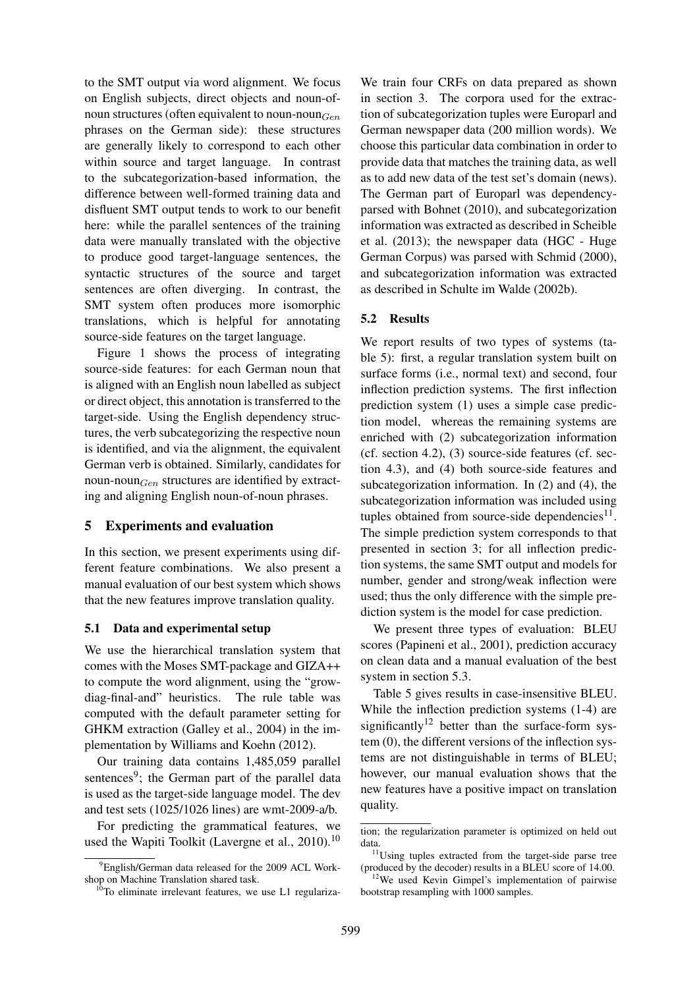to the SMT output via word alignment. We focus on English subjects, direct objects and noun-ofnoun structures (often equivalent to noun-noun $_{Gen}$ phrases on the German side): these structures are generally likely to correspond to each other within source and target language. In contrast to the subcategorization-based information, the difference between well-formed training data and disfluent SMT output tends to work to our benefit here: while the parallel sentences of the training data were manually translated with the objective to produce good target-language sentences, the syntactic structures of the source and target sentences are often diverging. In contrast, the SMT system often produces more isomorphic translations, which is helpful for annotating source-side features on the target language.

Figure 1 shows the process of integrating source-side features: for each German noun that is aligned with an English noun labelled as subject or direct object, this annotation is transferred to the target-side. Using the English dependency structures, the verb subcategorizing the respective noun is identified, and via the alignment, the equivalent German verb is obtained. Similarly, candidates for noun-noun $_{Gen}$  structures are identified by extracting and aligning English noun-of-noun phrases.

#### 5 Experiments and evaluation

In this section, we present experiments using different feature combinations. We also present a manual evaluation of our best system which shows that the new features improve translation quality.

#### 5.1 Data and experimental setup

We use the hierarchical translation system that comes with the Moses SMT-package and GIZA++ to compute the word alignment, using the "growdiag-final-and" heuristics. The rule table was computed with the default parameter setting for GHKM extraction (Galley et al., 2004) in the implementation by Williams and Koehn (2012).

Our training data contains 1,485,059 parallel sentences<sup>9</sup>; the German part of the parallel data is used as the target-side language model. The dev and test sets (1025/1026 lines) are wmt-2009-a/b.

For predicting the grammatical features, we used the Wapiti Toolkit (Lavergne et al., 2010).<sup>10</sup>

We train four CRFs on data prepared as shown in section 3. The corpora used for the extraction of subcategorization tuples were Europarl and German newspaper data (200 million words). We choose this particular data combination in order to provide data that matches the training data, as well as to add new data of the test set's domain (news). The German part of Europarl was dependencyparsed with Bohnet (2010), and subcategorization information was extracted as described in Scheible et al. (2013); the newspaper data (HGC - Huge German Corpus) was parsed with Schmid (2000), and subcategorization information was extracted as described in Schulte im Walde (2002b).

### 5.2 Results

We report results of two types of systems (table 5): first, a regular translation system built on surface forms (i.e., normal text) and second, four inflection prediction systems. The first inflection prediction system (1) uses a simple case prediction model, whereas the remaining systems are enriched with (2) subcategorization information (cf. section 4.2), (3) source-side features (cf. section 4.3), and (4) both source-side features and subcategorization information. In (2) and (4), the subcategorization information was included using tuples obtained from source-side dependencies $^{11}$ . The simple prediction system corresponds to that presented in section 3; for all inflection prediction systems, the same SMT output and models for number, gender and strong/weak inflection were used; thus the only difference with the simple prediction system is the model for case prediction.

We present three types of evaluation: BLEU scores (Papineni et al., 2001), prediction accuracy on clean data and a manual evaluation of the best system in section 5.3.

Table 5 gives results in case-insensitive BLEU. While the inflection prediction systems (1-4) are significantly<sup>12</sup> better than the surface-form system (0), the different versions of the inflection systems are not distinguishable in terms of BLEU; however, our manual evaluation shows that the new features have a positive impact on translation quality.

<sup>&</sup>lt;sup>9</sup>English/German data released for the 2009 ACL Workshop on Machine Translation shared task.

 $10$ To eliminate irrelevant features, we use L1 regulariza-

tion; the regularization parameter is optimized on held out data.

<sup>&</sup>lt;sup>11</sup>Using tuples extracted from the target-side parse tree (produced by the decoder) results in a BLEU score of 14.00.

<sup>&</sup>lt;sup>12</sup>We used Kevin Gimpel's implementation of pairwise bootstrap resampling with 1000 samples.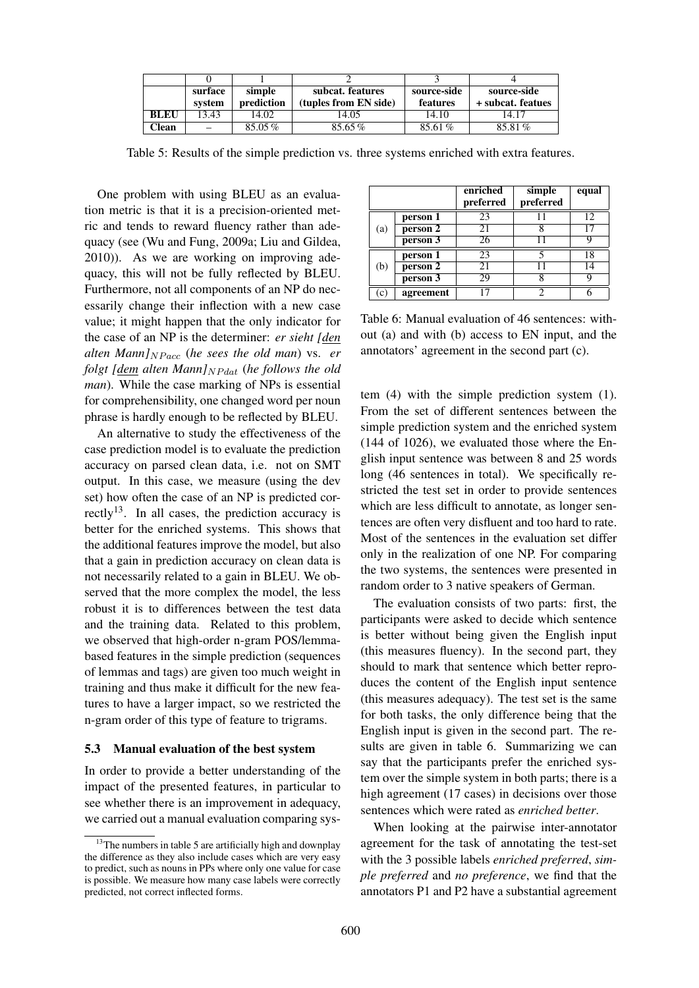|              | surface<br>system | simple<br>prediction | subcat. features<br>(tuples from EN side) | source-side<br>features | source-side<br>+ subcat. featues |
|--------------|-------------------|----------------------|-------------------------------------------|-------------------------|----------------------------------|
| <b>BLEU</b>  | 13.43             | 14.02                | 14.05                                     | 14.10                   | 14.17                            |
| <b>Clean</b> |                   | 85.05%               | 85.65%                                    | 85.61%                  | 85.81%                           |

Table 5: Results of the simple prediction vs. three systems enriched with extra features.

One problem with using BLEU as an evaluation metric is that it is a precision-oriented metric and tends to reward fluency rather than adequacy (see (Wu and Fung, 2009a; Liu and Gildea, 2010)). As we are working on improving adequacy, this will not be fully reflected by BLEU. Furthermore, not all components of an NP do necessarily change their inflection with a new case value; it might happen that the only indicator for the case of an NP is the determiner: *er sieht [den alten Mann* $N_{Pacc}$  (*he sees the old man*) vs. *er folgt*  $[\underline{dem}$  *alten Mann* $]_{NP dat}$  (*he follows the old man*). While the case marking of NPs is essential for comprehensibility, one changed word per noun phrase is hardly enough to be reflected by BLEU.

An alternative to study the effectiveness of the case prediction model is to evaluate the prediction accuracy on parsed clean data, i.e. not on SMT output. In this case, we measure (using the dev set) how often the case of an NP is predicted correctly<sup>13</sup>. In all cases, the prediction accuracy is better for the enriched systems. This shows that the additional features improve the model, but also that a gain in prediction accuracy on clean data is not necessarily related to a gain in BLEU. We observed that the more complex the model, the less robust it is to differences between the test data and the training data. Related to this problem, we observed that high-order n-gram POS/lemmabased features in the simple prediction (sequences of lemmas and tags) are given too much weight in training and thus make it difficult for the new features to have a larger impact, so we restricted the n-gram order of this type of feature to trigrams.

#### 5.3 Manual evaluation of the best system

In order to provide a better understanding of the impact of the presented features, in particular to see whether there is an improvement in adequacy, we carried out a manual evaluation comparing sys-

|     |           | enriched<br>preferred | simple<br>preferred | equal |
|-----|-----------|-----------------------|---------------------|-------|
|     | person 1  | 23                    |                     | 12    |
| (a) | person 2  | 21                    |                     |       |
|     | person 3  | 26                    | 11                  | g     |
|     | person 1  | 23                    | 5                   | 18    |
| (b) | person 2  | 21                    |                     | 14    |
|     | person 3  | 29                    | 8                   | q     |
| (C) | agreement | 17                    | າ                   |       |

Table 6: Manual evaluation of 46 sentences: without (a) and with (b) access to EN input, and the annotators' agreement in the second part (c).

tem (4) with the simple prediction system (1). From the set of different sentences between the simple prediction system and the enriched system (144 of 1026), we evaluated those where the English input sentence was between 8 and 25 words long (46 sentences in total). We specifically restricted the test set in order to provide sentences which are less difficult to annotate, as longer sentences are often very disfluent and too hard to rate. Most of the sentences in the evaluation set differ only in the realization of one NP. For comparing the two systems, the sentences were presented in random order to 3 native speakers of German.

The evaluation consists of two parts: first, the participants were asked to decide which sentence is better without being given the English input (this measures fluency). In the second part, they should to mark that sentence which better reproduces the content of the English input sentence (this measures adequacy). The test set is the same for both tasks, the only difference being that the English input is given in the second part. The results are given in table 6. Summarizing we can say that the participants prefer the enriched system over the simple system in both parts; there is a high agreement (17 cases) in decisions over those sentences which were rated as *enriched better*.

When looking at the pairwise inter-annotator agreement for the task of annotating the test-set with the 3 possible labels *enriched preferred*, *simple preferred* and *no preference*, we find that the annotators P1 and P2 have a substantial agreement

<sup>&</sup>lt;sup>13</sup>The numbers in table 5 are artificially high and downplay the difference as they also include cases which are very easy to predict, such as nouns in PPs where only one value for case is possible. We measure how many case labels were correctly predicted, not correct inflected forms.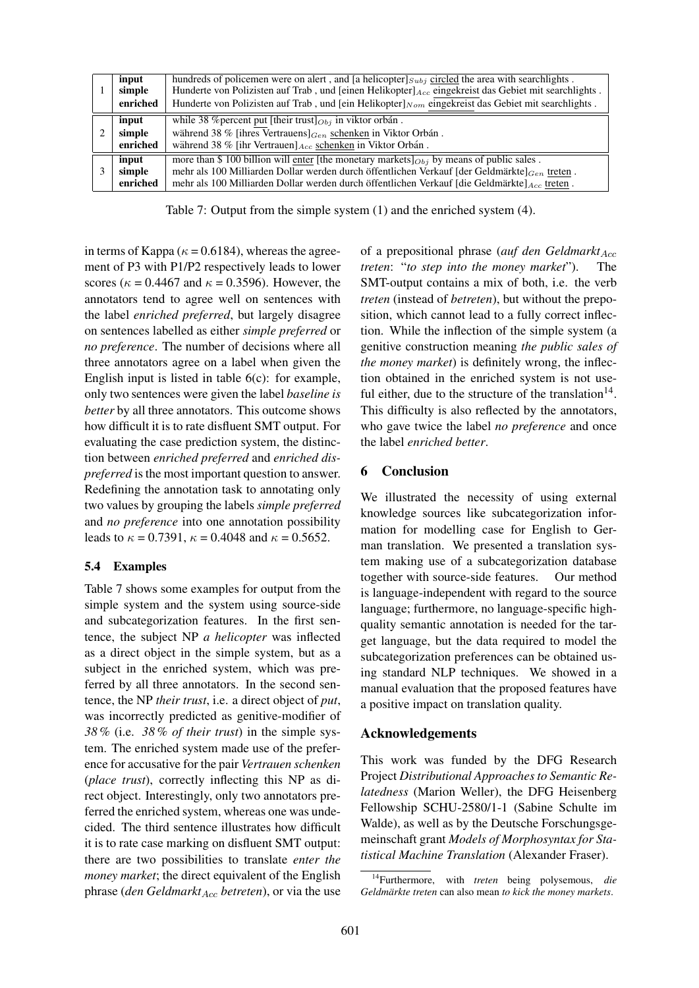| input<br>simple<br>enriched | hundreds of policemen were on alert, and [a helicopter] $_{Subi}$ circled the area with searchlights.<br>Hunderte von Polizisten auf Trab, und [einen Helikopter] Acc eingekreist das Gebiet mit searchlights.<br>Hunderte von Polizisten auf Trab, und [ein Helikopter] $_{Nom}$ eingekreist das Gebiet mit searchlights. |
|-----------------------------|----------------------------------------------------------------------------------------------------------------------------------------------------------------------------------------------------------------------------------------------------------------------------------------------------------------------------|
| input<br>simple<br>enriched | while 38 % percent put [their trust] $_{Obj}$ in viktor orbán.<br>während 38 % [ihres Vertrauens] $_{Gen}$ schenken in Viktor Orbán.<br>während 38 % [ihr Vertrauen] $_{Acc}$ schenken in Viktor Orbán.                                                                                                                    |
| input<br>simple<br>enriched | more than \$ 100 billion will enter [the monetary markets] $_{Obj}$ by means of public sales.<br>mehr als 100 Milliarden Dollar werden durch öffentlichen Verkauf [der Geldmärkte] $_{Gen}$ treten.<br>mehr als 100 Milliarden Dollar werden durch öffentlichen Verkauf [die Geldmärkte] $_{Acc}$ treten.                  |

Table 7: Output from the simple system (1) and the enriched system (4).

in terms of Kappa ( $\kappa$  = 0.6184), whereas the agreement of P3 with P1/P2 respectively leads to lower scores ( $\kappa$  = 0.4467 and  $\kappa$  = 0.3596). However, the annotators tend to agree well on sentences with the label *enriched preferred*, but largely disagree on sentences labelled as either *simple preferred* or *no preference*. The number of decisions where all three annotators agree on a label when given the English input is listed in table 6(c): for example, only two sentences were given the label *baseline is better* by all three annotators. This outcome shows how difficult it is to rate disfluent SMT output. For evaluating the case prediction system, the distinction between *enriched preferred* and *enriched dispreferred* is the most important question to answer. Redefining the annotation task to annotating only two values by grouping the labels *simple preferred* and *no preference* into one annotation possibility leads to  $\kappa = 0.7391$ ,  $\kappa = 0.4048$  and  $\kappa = 0.5652$ .

### 5.4 Examples

Table 7 shows some examples for output from the simple system and the system using source-side and subcategorization features. In the first sentence, the subject NP *a helicopter* was inflected as a direct object in the simple system, but as a subject in the enriched system, which was preferred by all three annotators. In the second sentence, the NP *their trust*, i.e. a direct object of *put*, was incorrectly predicted as genitive-modifier of *38 %* (i.e. *38 % of their trust*) in the simple system. The enriched system made use of the preference for accusative for the pair *Vertrauen schenken* (*place trust*), correctly inflecting this NP as direct object. Interestingly, only two annotators preferred the enriched system, whereas one was undecided. The third sentence illustrates how difficult it is to rate case marking on disfluent SMT output: there are two possibilities to translate *enter the money market*; the direct equivalent of the English phrase (*den Geldmarkt*<sub>Acc</sub> *betreten*), or via the use

of a prepositional phrase (*auf den Geldmarkt*<sub>Acc</sub>) *treten*: "*to step into the money market*"). The SMT-output contains a mix of both, i.e. the verb *treten* (instead of *betreten*), but without the preposition, which cannot lead to a fully correct inflection. While the inflection of the simple system (a genitive construction meaning *the public sales of the money market*) is definitely wrong, the inflection obtained in the enriched system is not useful either, due to the structure of the translation $14$ . This difficulty is also reflected by the annotators, who gave twice the label *no preference* and once the label *enriched better*.

### 6 Conclusion

We illustrated the necessity of using external knowledge sources like subcategorization information for modelling case for English to German translation. We presented a translation system making use of a subcategorization database together with source-side features. Our method is language-independent with regard to the source language; furthermore, no language-specific highquality semantic annotation is needed for the target language, but the data required to model the subcategorization preferences can be obtained using standard NLP techniques. We showed in a manual evaluation that the proposed features have a positive impact on translation quality.

### Acknowledgements

This work was funded by the DFG Research Project *Distributional Approaches to Semantic Relatedness* (Marion Weller), the DFG Heisenberg Fellowship SCHU-2580/1-1 (Sabine Schulte im Walde), as well as by the Deutsche Forschungsgemeinschaft grant *Models of Morphosyntax for Statistical Machine Translation* (Alexander Fraser).

<sup>14</sup>Furthermore, with *treten* being polysemous, *die Geldmarkte treten ¨* can also mean *to kick the money markets*.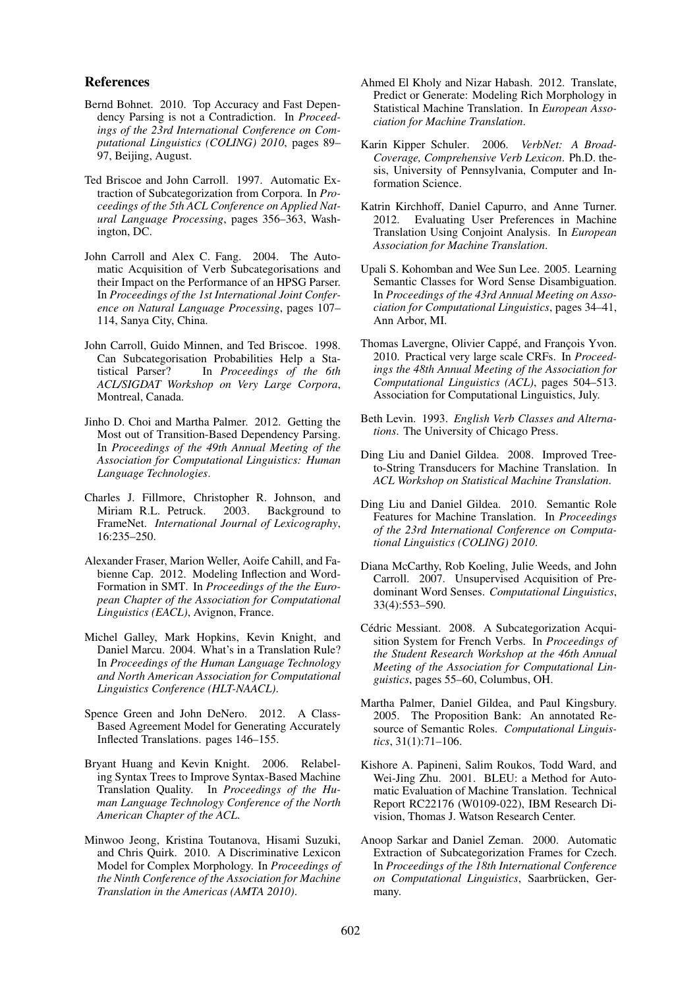#### References

- Bernd Bohnet. 2010. Top Accuracy and Fast Dependency Parsing is not a Contradiction. In *Proceedings of the 23rd International Conference on Computational Linguistics (COLING) 2010*, pages 89– 97, Beijing, August.
- Ted Briscoe and John Carroll. 1997. Automatic Extraction of Subcategorization from Corpora. In *Proceedings of the 5th ACL Conference on Applied Natural Language Processing*, pages 356–363, Washington, DC.
- John Carroll and Alex C. Fang. 2004. The Automatic Acquisition of Verb Subcategorisations and their Impact on the Performance of an HPSG Parser. In *Proceedings of the 1st International Joint Conference on Natural Language Processing*, pages 107– 114, Sanya City, China.
- John Carroll, Guido Minnen, and Ted Briscoe. 1998. Can Subcategorisation Probabilities Help a Statistical Parser? In *Proceedings of the 6th ACL/SIGDAT Workshop on Very Large Corpora*, Montreal, Canada.
- Jinho D. Choi and Martha Palmer. 2012. Getting the Most out of Transition-Based Dependency Parsing. In *Proceedings of the 49th Annual Meeting of the Association for Computational Linguistics: Human Language Technologies*.
- Charles J. Fillmore, Christopher R. Johnson, and Miriam R.L. Petruck. 2003. Background to FrameNet. *International Journal of Lexicography*, 16:235–250.
- Alexander Fraser, Marion Weller, Aoife Cahill, and Fabienne Cap. 2012. Modeling Inflection and Word-Formation in SMT. In *Proceedings of the the European Chapter of the Association for Computational Linguistics (EACL)*, Avignon, France.
- Michel Galley, Mark Hopkins, Kevin Knight, and Daniel Marcu. 2004. What's in a Translation Rule? In *Proceedings of the Human Language Technology and North American Association for Computational Linguistics Conference (HLT-NAACL)*.
- Spence Green and John DeNero. 2012. A Class-Based Agreement Model for Generating Accurately Inflected Translations. pages 146–155.
- Bryant Huang and Kevin Knight. 2006. Relabeling Syntax Trees to Improve Syntax-Based Machine Translation Quality. In *Proceedings of the Human Language Technology Conference of the North American Chapter of the ACL*.
- Minwoo Jeong, Kristina Toutanova, Hisami Suzuki, and Chris Quirk. 2010. A Discriminative Lexicon Model for Complex Morphology. In *Proceedings of the Ninth Conference of the Association for Machine Translation in the Americas (AMTA 2010)*.
- Ahmed El Kholy and Nizar Habash. 2012. Translate, Predict or Generate: Modeling Rich Morphology in Statistical Machine Translation. In *European Association for Machine Translation*.
- Karin Kipper Schuler. 2006. *VerbNet: A Broad-Coverage, Comprehensive Verb Lexicon*. Ph.D. thesis, University of Pennsylvania, Computer and Information Science.
- Katrin Kirchhoff, Daniel Capurro, and Anne Turner. 2012. Evaluating User Preferences in Machine Translation Using Conjoint Analysis. In *European Association for Machine Translation*.
- Upali S. Kohomban and Wee Sun Lee. 2005. Learning Semantic Classes for Word Sense Disambiguation. In *Proceedings of the 43rd Annual Meeting on Association for Computational Linguistics*, pages 34–41, Ann Arbor, MI.
- Thomas Lavergne, Olivier Cappé, and François Yvon. 2010. Practical very large scale CRFs. In *Proceedings the 48th Annual Meeting of the Association for Computational Linguistics (ACL)*, pages 504–513. Association for Computational Linguistics, July.
- Beth Levin. 1993. *English Verb Classes and Alternations*. The University of Chicago Press.
- Ding Liu and Daniel Gildea. 2008. Improved Treeto-String Transducers for Machine Translation. In *ACL Workshop on Statistical Machine Translation*.
- Ding Liu and Daniel Gildea. 2010. Semantic Role Features for Machine Translation. In *Proceedings of the 23rd International Conference on Computational Linguistics (COLING) 2010*.
- Diana McCarthy, Rob Koeling, Julie Weeds, and John Carroll. 2007. Unsupervised Acquisition of Predominant Word Senses. *Computational Linguistics*, 33(4):553–590.
- Cédric Messiant. 2008. A Subcategorization Acquisition System for French Verbs. In *Proceedings of the Student Research Workshop at the 46th Annual Meeting of the Association for Computational Linguistics*, pages 55–60, Columbus, OH.
- Martha Palmer, Daniel Gildea, and Paul Kingsbury. 2005. The Proposition Bank: An annotated Resource of Semantic Roles. *Computational Linguistics*, 31(1):71–106.
- Kishore A. Papineni, Salim Roukos, Todd Ward, and Wei-Jing Zhu. 2001. BLEU: a Method for Automatic Evaluation of Machine Translation. Technical Report RC22176 (W0109-022), IBM Research Division, Thomas J. Watson Research Center.
- Anoop Sarkar and Daniel Zeman. 2000. Automatic Extraction of Subcategorization Frames for Czech. In *Proceedings of the 18th International Conference on Computational Linguistics*, Saarbrucken, Ger- ¨ many.